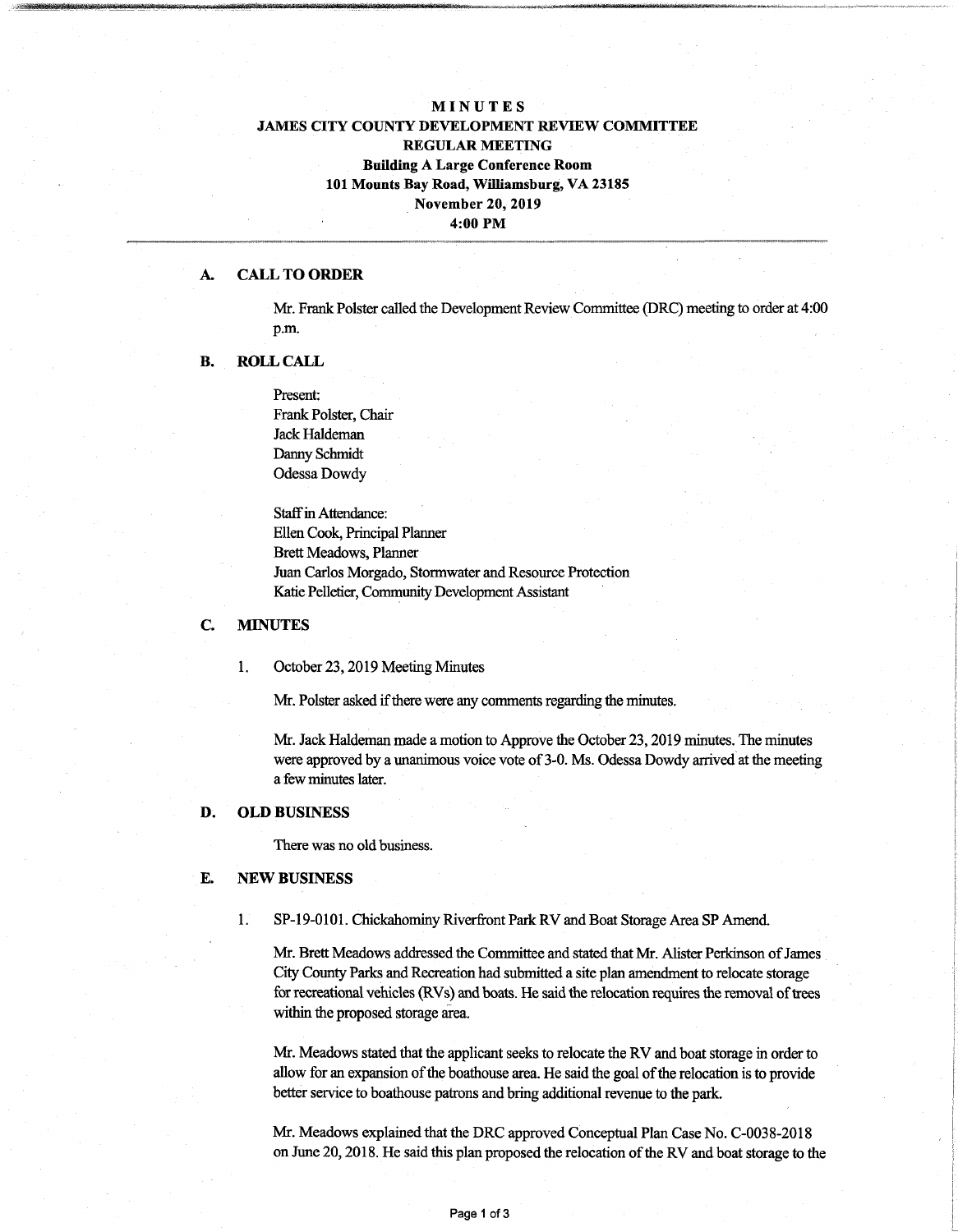# **MINUTES JAMES CITY COUNTY DEVELOPMENT REVIEW COMMITTEE REGULAR MEETING Building A Large Conference Room 101 Mounts Bay Road, Williamsburg, VA 23185 November 20, 2019 4:00 PM**

#### A. **CALL TO ORDER**

Mr. Frank Polster called the Development Review Committee (DRC) meeting to order at 4:00 p.m.

### **B. ROLL CALL**

Present: Frank Polster, Chair Jack Haldeman Danny Schmidt Odessa Dowdy

Staff in Attendance: Ellen Cook, Principal Planner Brett Meadows, Planner Juan Carlos Morgado, Stormwater and Resource Protection Katie Pelletier, Community Development Assistant

## **C. MINUTES**

### 1. October 23,2019 Meeting Minutes

Mr. Polster asked if there were any comments regarding the minutes.

Mr. Jack Haldeman made a motion to Approve the October 23,2019 minutes. The minutes were approved by a unanimous voice vote of 3-0. Ms. Odessa Dowdy arrived at the meeting a fewminutes later.

### **D. OLD BUSINESS**

There was no old business.

#### **E. NEW BUSINESS**

SP-19-0101. Chickahominy Riverfront Park RV and Boat Storage Area SP Amend. 1.

Mr. Brett Meadows addressed the Committee and stated that Mr. Alister Perkinson of James City County Parks and Recreation had submitted a site plan amendment to relocate storage for recreational vehicles (RVs) and boats. He said the relocation requires the removal of trees within the proposed storage area.

Mr. Meadows stated that the applicant seeks to relocate the RV and boat storage in order to allow for an expansion of the boathouse area. He said the goal of the relocation is to provide better service to boathouse patrons and bring additional revenue to the park.

Mr. Meadows explained that the DRC approved Conceptual Plan Case No. C-0038-2018 on June 20,2018. He said this plan proposed the relocation ofthe RV and boat storage to the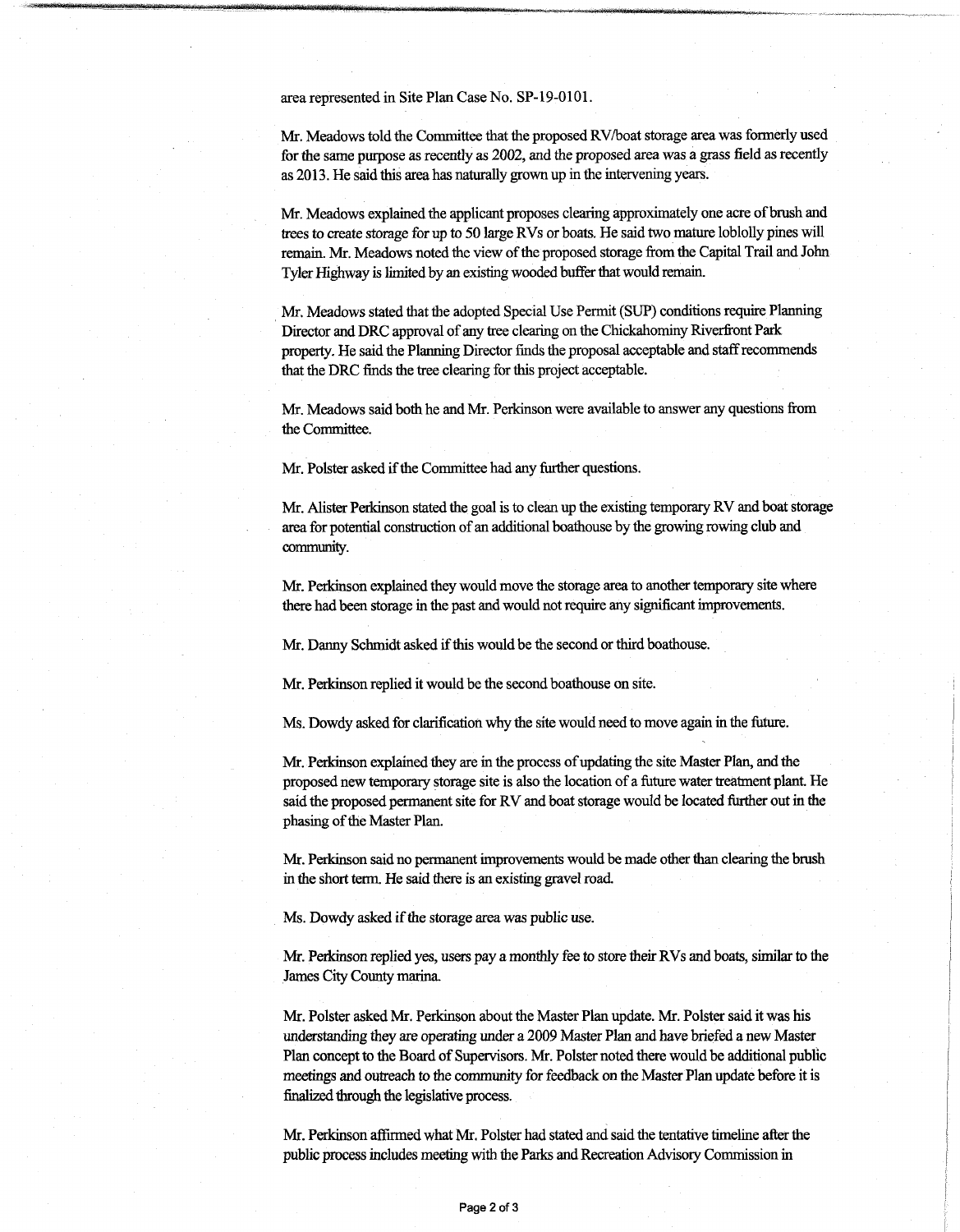area represented in Site Plan Case No. SP-19-0101.

Mr. Meadows told the Committee that the proposed RV/boat storage area was formerly used forthe same purpose as recently as 2002, and the proposed area was a grass field asrecently as 2013. He said this area has naturally grown up in the intervening years.

Mr. Meadows explained the applicant proposes clearing approximately one acre of brush and trees to create storage for up to 50 large RVs or boats. He said two mature loblolly pines will remain. Mr. Meadows noted the view of the proposed storage from the Capital Trail and John Tyler Highway is limited by an existing wooded buffer that would remain.

Mr. Meadows stated that the adopted Special Use Permit (SUP) conditions require Planning Director and DRC approval of any tree clearing on the Chickahominy Riverfront Park property. He said the Planning Director finds the proposal acceptable and staffrecommends that the DRC finds the tree clearing for this project acceptable.

Mr. Meadows said both he and Mr. Perkinson were available to answer any questions from the Committee.

Mr. Polster asked if the Committee had any further questions.

Mr. Alister Perkinson stated the goal is to clean up the existing temporary RV and boat storage area for potential construction of an additional boathouse by the growing rowing club and community.

Mr. Perkinson explained they would move the storage area to another temporary site where there had been storage in the past and would not require any significant improvements.

Mr. Danny Schmidt asked if this would be the second or third boathouse.

Mr. Perkinson replied itwould be the second boathouse on site.

Ms. Dowdy asked for clarification why the site would need to move again in the future.

Mr. Perkinson explained they are in the process of updating the site Master Plan, and the proposed new temporary storage site is also the location of a future water treatment plant. He said the proposed permanent site for RV and boat storage would be located further out in the phasing of the Master Plan.

Mr. Perkinson said no permanentimprovements would be made other than clearing the brush in the short term. He said there is an existing gravel road.

Ms. Dowdy asked if the storage area was public use.

Mr. Perkinson replied yes, users pay a monthly fee to store their RVs and boats, similar to the James City County marina.

Mr. Polster asked Mr. Perkinson about the Master Plan update. Mr. Polster said it was his understanding they are operating under a 2009 Master Plan and have briefed a new Master Plan concept to the Board of Supervisors. Mr. Polster noted there would be additional public meetings and outreach to the community for feedback on the Master Plan update before it is finalized through the legislative process.

Mr. Perkinson affirmed what Mr. Polster had stated and said the tentative timeline after the public process includes meeting with the Parks and Recreation Advisory Commission in

**L**